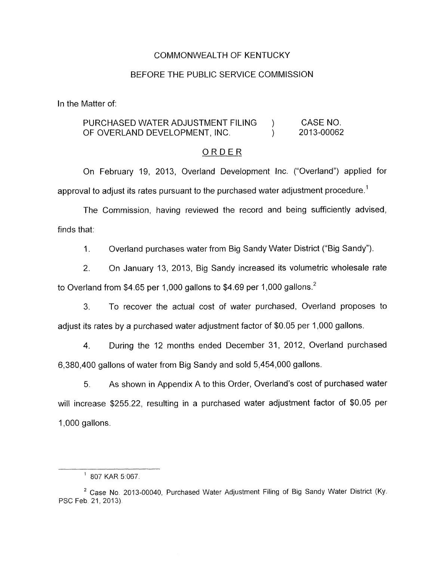#### COMMONWEALTH OF KENTUCKY

#### BEFORE THE PUBLIC SERVICE COMMISSION

In the Matter of:

## PURCHASED WATER ADJUSTMENT FILING ) CASE NO. OF OVERLAND DEVELOPMENT, INC. (2013-00062)

#### ORDER

On February 19, 2013, Overland Development Inc. ("Overland") applied for approval to adjust its rates pursuant to the purchased water adjustment procedure.<sup>1</sup>

The Commission, having reviewed the record and being sufficiently advised, finds that:

1. Overland purchases water from Big Sandy Water District ("Big Sandy").

2. On January 13, 2013, Big Sandy increased its volumetric wholesale rate to Overland from \$4.65 per 1,000 gallons to \$4.69 per 1,000 gallons.<sup>2</sup>

3. To recover the actual cost of water purchased, Overland proposes to adjust its rates by a purchased water adjustment factor of \$0.05 per 1,000 gallons.

4. During the 12 months ended December 31, 2012, Overland purchased 6,380,400 gallons of water from Big Sandy and sold 5,454,000 gallons.

*5.* As shown in Appendix A to this Order, Overland's cost of purchased water will increase \$255.22, resulting in a purchased water adjustment factor of \$0.05 per 1,000 gallons.

 $1$  807 KAR 5:067.

Case No 2013-00040, Purchased Water Adjustment Filing of Big Sandy Water District (Ky. **<sup>2</sup>** PSC Feb. 21, 2013).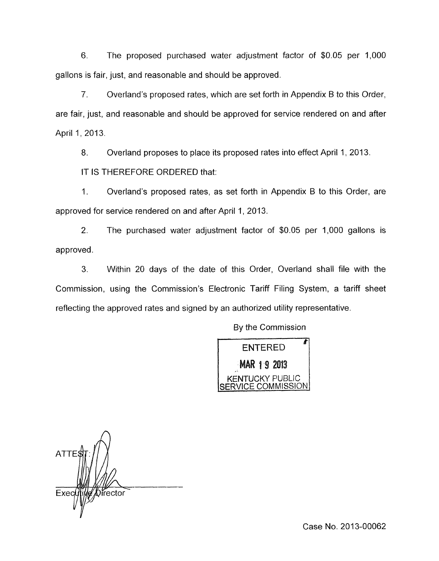6. The proposed purchased water adjustment factor of \$0.05 per 1,000 gallons is fair, just, and reasonable and should be approved.

*7.* Overland's proposed rates, which are set forth in Appendix B to this Order, are fair, just, and reasonable and should be approved for service rendered on and after April 1, 2013.

8. Overland proposes to place its proposed rates into effect April 1, 2013.

IT IS THEREFORE ORDERED that:

1. Overland's proposed rates, as set forth in Appendix B to this Order, are approved for service rendered on and after April 1, 2013.

2. The purchased water adjustment factor of \$0.05 per 1,000 gallons is approved.

**3.** Within 20 days of the date of this Order, Overland shall file with the Commission, using the Commission's Electronic Tariff Filing System, a tariff sheet reflecting the approved rates and signed by an authorized utility representative.

By the Commission

**ENTERED** MAR 1 9 2013 ICKY PUBLIC COMMISSION

 $\bigcap$ **ATTE** Exec *Offector* 

Case No. 2013-00062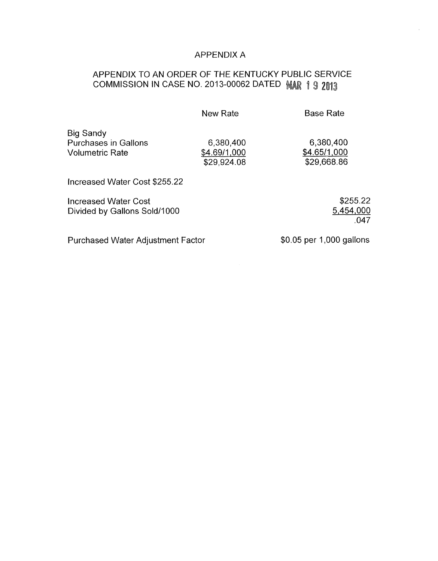# APPENDIX A

# APPENDIX TO AN ORDER OF THE KENTUCKY PUBLIC SERVICE COMMISSION IN CASE NO. 2013-00062 DATED MAR 1 9 2013

|                                                                           | New Rate                                 | <b>Base Rate</b>                         |
|---------------------------------------------------------------------------|------------------------------------------|------------------------------------------|
| <b>Big Sandy</b><br><b>Purchases in Gallons</b><br><b>Volumetric Rate</b> | 6,380,400<br>\$4.69/1,000<br>\$29,924.08 | 6,380,400<br>\$4.65/1,000<br>\$29,668.86 |
| Increased Water Cost \$255.22                                             |                                          |                                          |
| <b>Increased Water Cost</b><br>Divided by Gallons Sold/1000               |                                          | \$255.22<br>5,454,000<br>.047            |

Purchased Water Adjustment Factor \$0.05 per 1,000 gallons

.047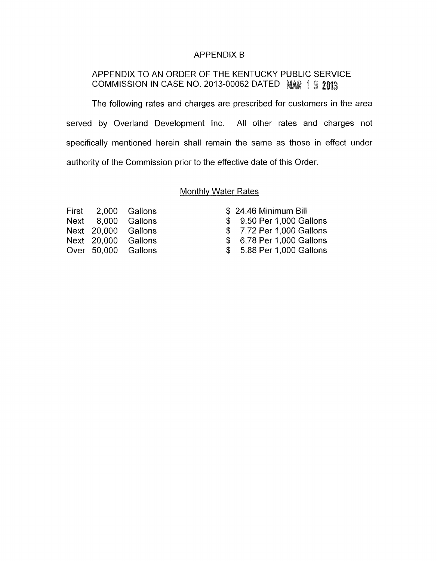## APPENDIX B

## APPENDIX TO AN ORDER OF THE KENTUCKY PUBLIC SERVICE COMMISSION IN CASE NO. 2013-00062 DATED MAR 1 9 2013

The following rates and charges are prescribed for customers in the area served by Overland Development Inc. All other rates and charges not specifically mentioned herein shall remain the same as those in effect under authority of the Commission prior to the effective date of this Order.

### Monthly Water Rates

|  | First 2,000 Gallons | \$24.46 Minimum Bill      |
|--|---------------------|---------------------------|
|  | Next 8,000 Gallons  | \$ 9.50 Per 1,000 Gallons |
|  | Next 20,000 Gallons | \$7.72 Per 1,000 Gallons  |
|  | Next 20,000 Gallons | \$ 6.78 Per 1,000 Gallons |
|  | Over 50,000 Gallons | \$ 5.88 Per 1,000 Gallons |